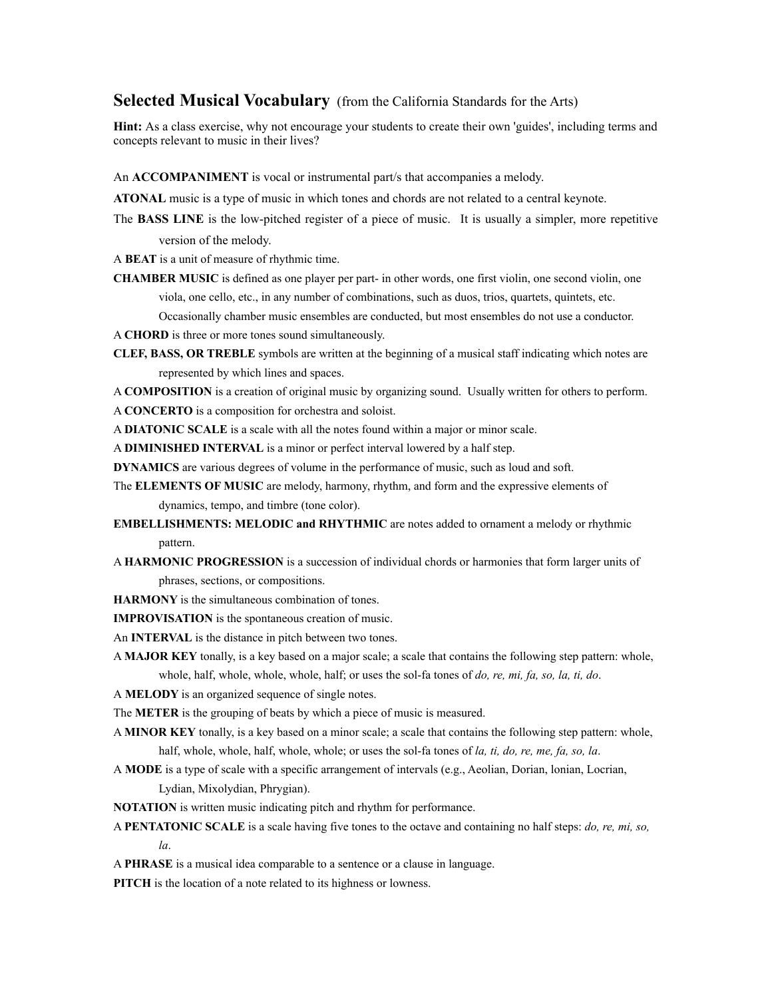## **Selected Musical Vocabulary** (from the California Standards for the Arts)

**Hint:** As a class exercise, why not encourage your students to create their own 'guides', including terms and concepts relevant to music in their lives?

An **ACCOMPANIMENT** is vocal or instrumental part/s that accompanies a melody.

**ATONAL** music is a type of music in which tones and chords are not related to a central keynote.

- The **BASS LINE** is the low-pitched register of a piece of music. It is usually a simpler, more repetitive version of the melody.
- A **BEAT** is a unit of measure of rhythmic time.
- **CHAMBER MUSIC** is defined as one player per part- in other words, one first violin, one second violin, one viola, one cello, etc., in any number of combinations, such as duos, trios, quartets, quintets, etc. Occasionally chamber music ensembles are conducted, but most ensembles do not use a conductor.
- A **CHORD** is three or more tones sound simultaneously.
- **CLEF, BASS, OR TREBLE** symbols are written at the beginning of a musical staff indicating which notes are represented by which lines and spaces.
- A **COMPOSITION** is a creation of original music by organizing sound. Usually written for others to perform. A **CONCERTO** is a composition for orchestra and soloist.

A **DIATONIC SCALE** is a scale with all the notes found within a major or minor scale.

A **DIMINISHED INTERVAL** is a minor or perfect interval lowered by a half step.

**DYNAMICS** are various degrees of volume in the performance of music, such as loud and soft.

- The **ELEMENTS OF MUSIC** are melody, harmony, rhythm, and form and the expressive elements of dynamics, tempo, and timbre (tone color).
- **EMBELLISHMENTS: MELODIC and RHYTHMIC** are notes added to ornament a melody or rhythmic pattern.
- A **HARMONIC PROGRESSION** is a succession of individual chords or harmonies that form larger units of phrases, sections, or compositions.

**HARMONY** is the simultaneous combination of tones.

**IMPROVISATION** is the spontaneous creation of music.

An **INTERVAL** is the distance in pitch between two tones.

- A **MAJOR KEY** tonally, is a key based on a major scale; a scale that contains the following step pattern: whole, whole, half, whole, whole, whole, half; or uses the sol-fa tones of *do, re, mi, fa, so, la, ti, do*.
- A **MELODY** is an organized sequence of single notes.

The **METER** is the grouping of beats by which a piece of music is measured.

- A **MINOR KEY** tonally, is a key based on a minor scale; a scale that contains the following step pattern: whole, half, whole, whole, half, whole, whole; or uses the sol-fa tones of *la, ti, do, re, me, fa, so, la*.
- A **MODE** is a type of scale with a specific arrangement of intervals (e.g., Aeolian, Dorian, lonian, Locrian, Lydian, Mixolydian, Phrygian).
- **NOTATION** is written music indicating pitch and rhythm for performance.
- A **PENTATONIC SCALE** is a scale having five tones to the octave and containing no half steps: *do, re, mi, so, la*.
- A **PHRASE** is a musical idea comparable to a sentence or a clause in language.

**PITCH** is the location of a note related to its highness or lowness.